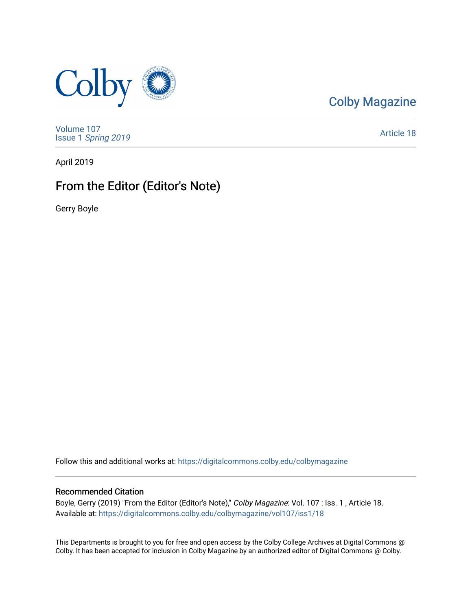

[Colby Magazine](https://digitalcommons.colby.edu/colbymagazine) 

[Volume 107](https://digitalcommons.colby.edu/colbymagazine/vol107) Issue 1 [Spring 2019](https://digitalcommons.colby.edu/colbymagazine/vol107/iss1) 

[Article 18](https://digitalcommons.colby.edu/colbymagazine/vol107/iss1/18) 

April 2019

# From the Editor (Editor's Note)

Gerry Boyle

Follow this and additional works at: [https://digitalcommons.colby.edu/colbymagazine](https://digitalcommons.colby.edu/colbymagazine?utm_source=digitalcommons.colby.edu%2Fcolbymagazine%2Fvol107%2Fiss1%2F18&utm_medium=PDF&utm_campaign=PDFCoverPages)

## Recommended Citation

Boyle, Gerry (2019) "From the Editor (Editor's Note)," Colby Magazine: Vol. 107 : Iss. 1 , Article 18. Available at: [https://digitalcommons.colby.edu/colbymagazine/vol107/iss1/18](https://digitalcommons.colby.edu/colbymagazine/vol107/iss1/18?utm_source=digitalcommons.colby.edu%2Fcolbymagazine%2Fvol107%2Fiss1%2F18&utm_medium=PDF&utm_campaign=PDFCoverPages)

This Departments is brought to you for free and open access by the Colby College Archives at Digital Commons @ Colby. It has been accepted for inclusion in Colby Magazine by an authorized editor of Digital Commons @ Colby.